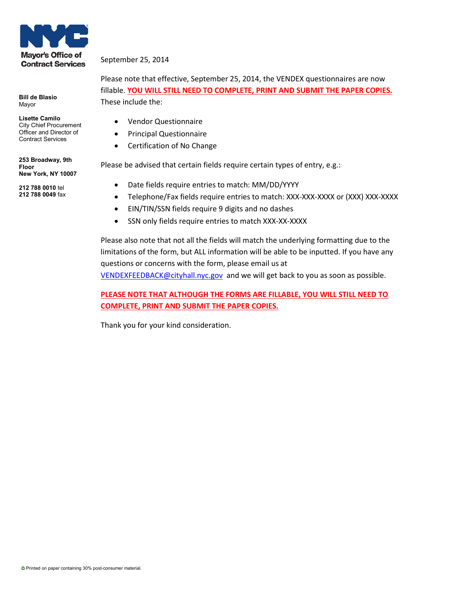

**Bill de Blasio** Mayor

#### **Lisette Camilo** City Chief Procurement Officer and Director of Contract Services

**253 Broadway, 9th Floor New York, NY 10007**

**212 788 0010** tel **212 788 0049** fax

#### September 25, 2014

Please note that effective, September 25, 2014, the VENDEX questionnaires are now fillable. **YOU WILL STILL NEED TO COMPLETE, PRINT AND SUBMIT THE PAPER COPIES.** These include the:

- Vendor Questionnaire
- Principal Questionnaire
- Certification of No Change

Please be advised that certain fields require certain types of entry, e.g.:

- Date fields require entries to match: MM/DD/YYYY
- Telephone/Fax fields require entries to match: XXX-XXX-XXXX or (XXX) XXX-XXXX
- EIN/TIN/SSN fields require 9 digits and no dashes
- SSN only fields require entries to match XXX-XX-XXXX

Please also note that not all the fields will match the underlying formatting due to the limitations of the form, but ALL information will be able to be inputted. If you have any questions or concerns with the form, please email us at [VENDEXFEEDBACK@cityhall.nyc.gov](mailto:VENDEXFEEDBACK@cityhall.nyc.gov) and we will get back to you as soon as possible.

#### **PLEASE NOTE THAT ALTHOUGH THE FORMS ARE FILLABLE, YOU WILL STILL NEED TO COMPLETE, PRINT AND SUBMIT THE PAPER COPIES.**

Thank you for your kind consideration.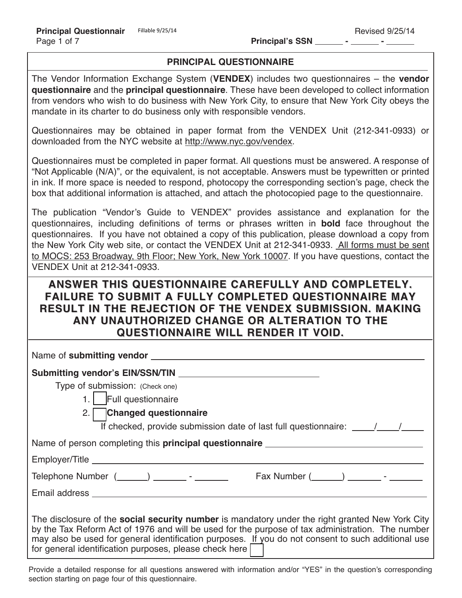#### **PRINCIPAL QUESTIONNAIRE**

The Vendor Information Exchange System (**VENDEX**) includes two questionnaires – the **vendor questionnaire** and the **principal questionnaire**. These have been developed to collect information from vendors who wish to do business with New York City, to ensure that New York City obeys the mandate in its charter to do business only with responsible vendors.

Questionnaires may be obtained in paper format from the VENDEX Unit (212-341-0933) or downloaded from the NYC website at http://www.nyc.gov/vendex.

Questionnaires must be completed in paper format. All questions must be answered. A response of "Not Applicable (N/A)", or the equivalent, is not acceptable. Answers must be typewritten or printed in ink. If more space is needed to respond, photocopy the corresponding section's page, check the box that additional information is attached, and attach the photocopied page to the questionnaire.

The publication "Vendor's Guide to VENDEX" provides assistance and explanation for the questionnaires, including definitions of terms or phrases written in **bold** face throughout the questionnaires. If you have not obtained a copy of this publication, please download a copy from the New York City web site, or contact the VENDEX Unit at 212-341-0933. All forms must be sent to MOCS: 253 Broadway, 9th Floor; New York, New York 10007. If you have questions, contact the VENDEX Unit at 212-341-0933.

## **ANSWER THIS QUESTIONNAIRE CAREFULLY AND COMPLETELY. FAILURE TO SUBMIT A FULLY COMPLETED QUESTIONNAIRE MAY RESULT IN THE REJECTION OF THE VENDEX SUBMISSION. MAKING ANY UNAUTHORIZED CHANGE OR ALTERATION TO THE QUESTIONNAIRE WILL RENDER IT VOID.**

| Submitting vendor's EIN/SSN/TIN                                                                                                                                                                                                                                                                                                                                            |  |  |  |
|----------------------------------------------------------------------------------------------------------------------------------------------------------------------------------------------------------------------------------------------------------------------------------------------------------------------------------------------------------------------------|--|--|--|
| Type of submission: (Check one)                                                                                                                                                                                                                                                                                                                                            |  |  |  |
| 1. Full questionnaire                                                                                                                                                                                                                                                                                                                                                      |  |  |  |
| 2. Changed questionnaire                                                                                                                                                                                                                                                                                                                                                   |  |  |  |
| If checked, provide submission date of last full questionnaire: $\frac{1}{\sqrt{1-\frac{1}{1-\frac{1}{1-\frac{1}{1-\frac{1}{1-\frac{1}{1-\frac{1}{1-\frac{1}{1-\frac{1}{1-\frac{1}{1-\frac{1}{1-\frac{1}{1-\frac{1}{1-\frac{1}{1-\frac{1}{1-\frac{1}{1-\frac{1}{1-\frac{1}{1-\frac{1}{1-\frac{1}{1-\frac{1}{1-\frac{1}{1-\frac{1}{1-\frac{1}{1-\frac{1}{1-\frac{$          |  |  |  |
|                                                                                                                                                                                                                                                                                                                                                                            |  |  |  |
|                                                                                                                                                                                                                                                                                                                                                                            |  |  |  |
| Telephone Number $(\_\_\_\_) \_\_\_\_\$ - $\_\_\_\_$                                                                                                                                                                                                                                                                                                                       |  |  |  |
|                                                                                                                                                                                                                                                                                                                                                                            |  |  |  |
| The disclosure of the <b>social security number</b> is mandatory under the right granted New York City<br>by the Tax Reform Act of 1976 and will be used for the purpose of tax administration. The number<br>may also be used for general identification purposes. If you do not consent to such additional use<br>for general identification purposes, please check here |  |  |  |

Provide a detailed response for all questions answered with information and/or "YES" in the question's corresponding section starting on page four of this questionnaire.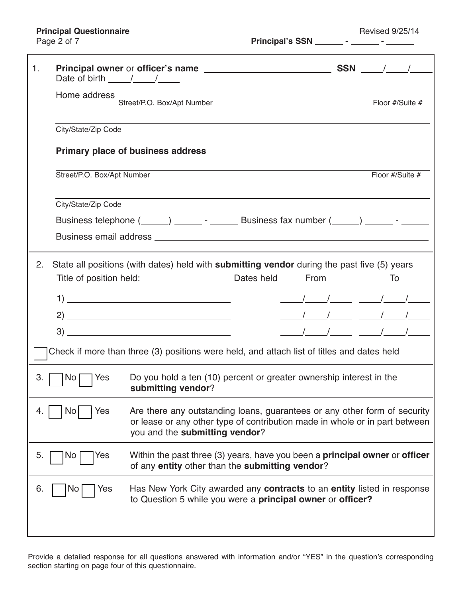| $\mathbf{1}$ .                                                                             |                                                                                                                                                                                                                |                                                                                                                                                     |            |      |                 |
|--------------------------------------------------------------------------------------------|----------------------------------------------------------------------------------------------------------------------------------------------------------------------------------------------------------------|-----------------------------------------------------------------------------------------------------------------------------------------------------|------------|------|-----------------|
|                                                                                            | Date of birth $\frac{\sqrt{2}}{2}$                                                                                                                                                                             | Home address<br>Street/P.O. Box/Apt Number                                                                                                          |            |      | Floor #/Suite # |
|                                                                                            | City/State/Zip Code                                                                                                                                                                                            |                                                                                                                                                     |            |      |                 |
|                                                                                            |                                                                                                                                                                                                                | <b>Primary place of business address</b>                                                                                                            |            |      |                 |
|                                                                                            | Street/P.O. Box/Apt Number                                                                                                                                                                                     |                                                                                                                                                     |            |      | Floor #/Suite # |
|                                                                                            | City/State/Zip Code                                                                                                                                                                                            | Business telephone (_____) ________ - _______ Business fax number (_____) ______ - ______                                                           |            |      |                 |
| 2.                                                                                         | Title of position held:                                                                                                                                                                                        | State all positions (with dates) held with <b>submitting vendor</b> during the past five (5) years                                                  | Dates held | From | To              |
|                                                                                            |                                                                                                                                                                                                                |                                                                                                                                                     |            |      |                 |
|                                                                                            |                                                                                                                                                                                                                | $\begin{tabular}{c} 3) \end{tabular}$                                                                                                               |            |      | <u>       </u>  |
| Check if more than three (3) positions were held, and attach list of titles and dates held |                                                                                                                                                                                                                |                                                                                                                                                     |            |      |                 |
| 3.                                                                                         | Do you hold a ten (10) percent or greater ownership interest in the<br>No <sub>1</sub><br>Yes<br>submitting vendor?                                                                                            |                                                                                                                                                     |            |      |                 |
|                                                                                            | Are there any outstanding loans, guarantees or any other form of security<br>Yes<br><b>NO</b><br>or lease or any other type of contribution made in whole or in part between<br>you and the submitting vendor? |                                                                                                                                                     |            |      |                 |
| 5.                                                                                         | Within the past three (3) years, have you been a <b>principal owner</b> or <b>officer</b><br>Yes<br><b>NO</b><br>of any entity other than the submitting vendor?                                               |                                                                                                                                                     |            |      |                 |
| 6.                                                                                         | Yes<br>ΝO                                                                                                                                                                                                      | Has New York City awarded any <b>contracts</b> to an <b>entity</b> listed in response<br>to Question 5 while you were a principal owner or officer? |            |      |                 |
|                                                                                            |                                                                                                                                                                                                                |                                                                                                                                                     |            |      |                 |

Provide a detailed response for all questions answered with information and/or "YES" in the question's corresponding section starting on page four of this questionnaire.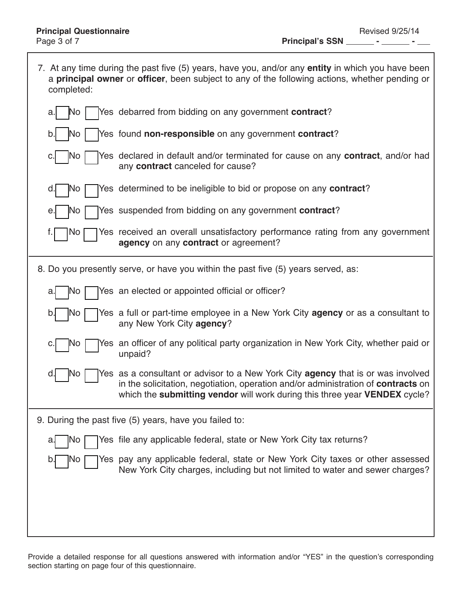Ī

| 7. At any time during the past five (5) years, have you, and/or any <b>entity</b> in which you have been<br>a principal owner or officer, been subject to any of the following actions, whether pending or<br>completed: |                                                                                                                                                                                                                                                            |  |  |  |
|--------------------------------------------------------------------------------------------------------------------------------------------------------------------------------------------------------------------------|------------------------------------------------------------------------------------------------------------------------------------------------------------------------------------------------------------------------------------------------------------|--|--|--|
| N٥<br>a.                                                                                                                                                                                                                 | Yes debarred from bidding on any government contract?                                                                                                                                                                                                      |  |  |  |
| No.<br>b.                                                                                                                                                                                                                | Yes found non-responsible on any government contract?                                                                                                                                                                                                      |  |  |  |
| No.<br>c.                                                                                                                                                                                                                | Yes declared in default and/or terminated for cause on any contract, and/or had<br>any contract canceled for cause?                                                                                                                                        |  |  |  |
| ļΝo<br>d.                                                                                                                                                                                                                | Yes determined to be ineligible to bid or propose on any <b>contract</b> ?                                                                                                                                                                                 |  |  |  |
| No.<br>е.                                                                                                                                                                                                                | Yes suspended from bidding on any government <b>contract</b> ?                                                                                                                                                                                             |  |  |  |
| No                                                                                                                                                                                                                       | Yes received an overall unsatisfactory performance rating from any government<br>agency on any contract or agreement?                                                                                                                                      |  |  |  |
|                                                                                                                                                                                                                          | 8. Do you presently serve, or have you within the past five (5) years served, as:                                                                                                                                                                          |  |  |  |
| No<br>a.                                                                                                                                                                                                                 | Yes an elected or appointed official or officer?                                                                                                                                                                                                           |  |  |  |
| No<br>b.                                                                                                                                                                                                                 | Yes a full or part-time employee in a New York City <b>agency</b> or as a consultant to<br>any New York City agency?                                                                                                                                       |  |  |  |
| No<br>c.                                                                                                                                                                                                                 | Yes an officer of any political party organization in New York City, whether paid or<br>unpaid?                                                                                                                                                            |  |  |  |
| No.<br>d.                                                                                                                                                                                                                | Yes as a consultant or advisor to a New York City <b>agency</b> that is or was involved<br>in the solicitation, negotiation, operation and/or administration of contracts on<br>which the submitting vendor will work during this three year VENDEX cycle? |  |  |  |
| 9. During the past five (5) years, have you failed to:                                                                                                                                                                   |                                                                                                                                                                                                                                                            |  |  |  |
| NO.<br>a.                                                                                                                                                                                                                | Yes file any applicable federal, state or New York City tax returns?                                                                                                                                                                                       |  |  |  |
| b.<br> NO                                                                                                                                                                                                                | Yes pay any applicable federal, state or New York City taxes or other assessed<br>New York City charges, including but not limited to water and sewer charges?                                                                                             |  |  |  |
|                                                                                                                                                                                                                          |                                                                                                                                                                                                                                                            |  |  |  |

Provide a detailed response for all questions answered with information and/or "YES" in the question's corresponding section starting on page four of this questionnaire.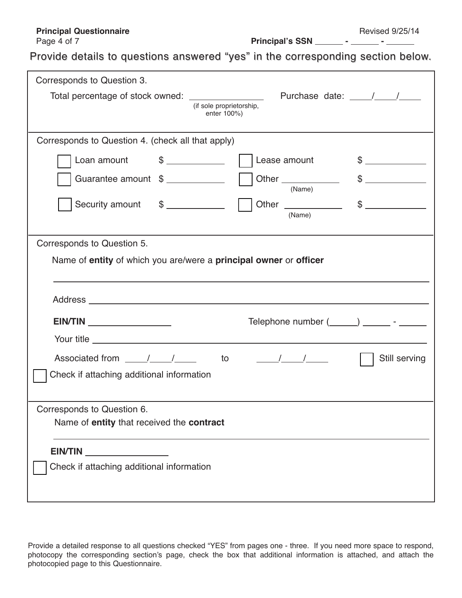# **Principal Questionnaire** Revised 9/25/14<br>
Page 4 of 7 **Principal's SSN** Principal's SSN Principal's SSN Principal's SSN Principal's SSN Principal's SSN Principal's SSN Principal's SSN Principal's SSN Principal's SSN Princ

Provide details to questions answered "yes" in the corresponding section below.

| Corresponds to Question 3.                                                                                                                                                                                                           |
|--------------------------------------------------------------------------------------------------------------------------------------------------------------------------------------------------------------------------------------|
| Total percentage of stock owned:                                                                                                                                                                                                     |
| (if sole proprietorship,<br>enter 100%)                                                                                                                                                                                              |
|                                                                                                                                                                                                                                      |
| Corresponds to Question 4. (check all that apply)                                                                                                                                                                                    |
| $\frac{1}{2}$<br>Loan amount<br>Lease amount<br>$\frac{1}{2}$                                                                                                                                                                        |
| $\frac{1}{2}$<br>Guarantee amount \$<br>Other _____________<br>(Name)                                                                                                                                                                |
| Other _______________<br>Security amount \$<br>$\frac{1}{2}$<br>(Name)                                                                                                                                                               |
| Corresponds to Question 5.                                                                                                                                                                                                           |
| Name of entity of which you are/were a principal owner or officer                                                                                                                                                                    |
|                                                                                                                                                                                                                                      |
| Telephone number (_____) ________ - ______<br><b>EIN/TIN</b>                                                                                                                                                                         |
| Your title <u>example and the series of the series of the series of the series of the series of the series of the series of the series of the series of the series of the series of the series of the series of the series of th</u> |
| $\frac{1}{\sqrt{2}}$<br>Still serving                                                                                                                                                                                                |
| Check if attaching additional information                                                                                                                                                                                            |
| Corresponds to Question 6.                                                                                                                                                                                                           |
| Name of entity that received the contract                                                                                                                                                                                            |
|                                                                                                                                                                                                                                      |
| Check if attaching additional information                                                                                                                                                                                            |
|                                                                                                                                                                                                                                      |
|                                                                                                                                                                                                                                      |

Provide a detailed response to all questions checked "YES" from pages one - three. If you need more space to respond, photocopy the corresponding section's page, check the box that additional information is attached, and attach the photocopied page to this Questionnaire.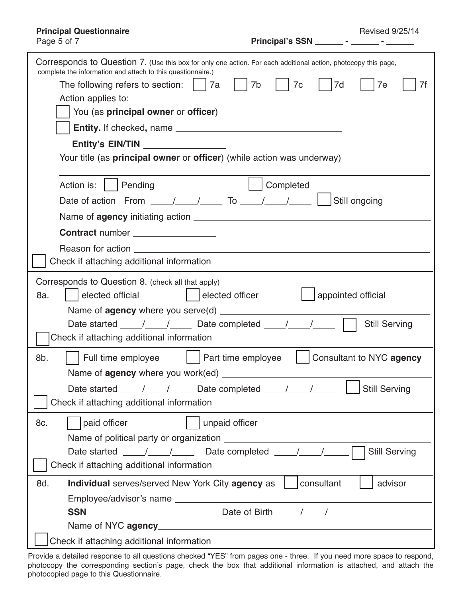| <b>Revised 9/25/14</b> |  |
|------------------------|--|
|------------------------|--|

**Principal's SSN \_\_\_\_\_\_\_ - \_\_\_\_\_\_ - \_\_\_\_\_** 

| Corresponds to Question 7. (Use this box for only one action. For each additional action, photocopy this page,<br>complete the information and attach to this questionnaire.) |  |  |  |  |  |
|-------------------------------------------------------------------------------------------------------------------------------------------------------------------------------|--|--|--|--|--|
| The following refers to section:     7a<br>7b<br>7c<br>7d<br>7e<br>7f                                                                                                         |  |  |  |  |  |
| Action applies to:                                                                                                                                                            |  |  |  |  |  |
| You (as principal owner or officer)                                                                                                                                           |  |  |  |  |  |
|                                                                                                                                                                               |  |  |  |  |  |
| Entity's EIN/TIN                                                                                                                                                              |  |  |  |  |  |
| Your title (as principal owner or officer) (while action was underway)                                                                                                        |  |  |  |  |  |
| Completed<br>Action is:<br>Pending                                                                                                                                            |  |  |  |  |  |
| Date of action From $\frac{1}{\sqrt{2}}$ To $\frac{1}{\sqrt{2}}$<br>Still ongoing                                                                                             |  |  |  |  |  |
|                                                                                                                                                                               |  |  |  |  |  |
| Contract number ________________                                                                                                                                              |  |  |  |  |  |
| Reason for action                                                                                                                                                             |  |  |  |  |  |
| Check if attaching additional information                                                                                                                                     |  |  |  |  |  |
|                                                                                                                                                                               |  |  |  |  |  |
| Corresponds to Question 8. (check all that apply)                                                                                                                             |  |  |  |  |  |
| elected official<br>  appointed official<br>8a.<br>  elected officer                                                                                                          |  |  |  |  |  |
|                                                                                                                                                                               |  |  |  |  |  |
| Date started _____/_____/ ______ Date completed _____/_____/______<br><b>Still Serving</b><br>Check if attaching additional information                                       |  |  |  |  |  |
|                                                                                                                                                                               |  |  |  |  |  |
| Consultant to NYC agency<br>8b.<br>Full time employee<br>  Part time employee                                                                                                 |  |  |  |  |  |
|                                                                                                                                                                               |  |  |  |  |  |
|                                                                                                                                                                               |  |  |  |  |  |
| Check if attaching additional information                                                                                                                                     |  |  |  |  |  |
| paid officer<br>unpaid officer<br>8c.                                                                                                                                         |  |  |  |  |  |
| Name of political party or organization                                                                                                                                       |  |  |  |  |  |
| Date started ____/____/_____ Date completed ____/____/_____<br><b>Still Serving</b>                                                                                           |  |  |  |  |  |
| Check if attaching additional information                                                                                                                                     |  |  |  |  |  |
| Individual serves/served New York City agency as<br>consultant<br>advisor<br>8d.                                                                                              |  |  |  |  |  |
|                                                                                                                                                                               |  |  |  |  |  |
|                                                                                                                                                                               |  |  |  |  |  |
|                                                                                                                                                                               |  |  |  |  |  |
| Check if attaching additional information                                                                                                                                     |  |  |  |  |  |

Provide a detailed response to all questions checked "YES" from pages one - three. If you need more space to respond, photocopy the corresponding section's page, check the box that additional information is attached, and attach the photocopied page to this Questionnaire.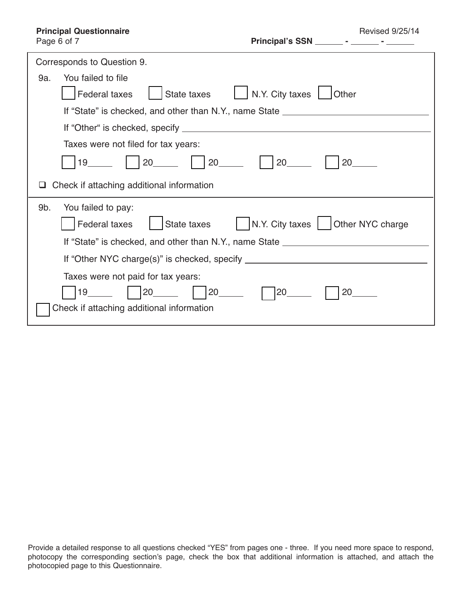| Page 6 of 7 |  |  |
|-------------|--|--|

| Corresponds to Question 9.                                                       |  |  |  |  |
|----------------------------------------------------------------------------------|--|--|--|--|
| You failed to file<br>9a.                                                        |  |  |  |  |
| N.Y. City taxes   Other<br><b>Federal taxes</b><br>State taxes                   |  |  |  |  |
| If "State" is checked, and other than N.Y., name State _________________________ |  |  |  |  |
|                                                                                  |  |  |  |  |
| Taxes were not filed for tax years:                                              |  |  |  |  |
| 20<br>$20$ <sub>_____</sub><br>19<br>20<br>20                                    |  |  |  |  |
| Check if attaching additional information                                        |  |  |  |  |
| 9b.<br>You failed to pay:                                                        |  |  |  |  |
| N.Y. City taxes   Other NYC charge<br>Federal taxes<br>State taxes               |  |  |  |  |
| If "State" is checked, and other than N.Y., name State _________________________ |  |  |  |  |
| If "Other NYC charge(s)" is checked, specify ___________________________________ |  |  |  |  |
| Taxes were not paid for tax years:                                               |  |  |  |  |
| 20<br>20<br>19<br>20<br>20                                                       |  |  |  |  |
| Check if attaching additional information                                        |  |  |  |  |

Provide a detailed response to all questions checked "YES" from pages one - three. If you need more space to respond, photocopy the corresponding section's page, check the box that additional information is attached, and attach the photocopied page to this Questionnaire.